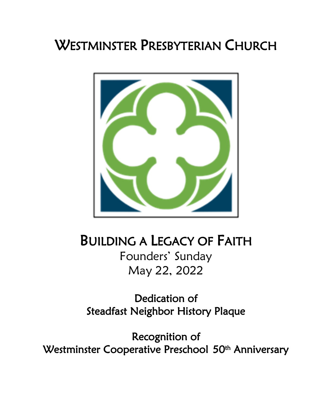# WESTMINSTER PRESBYTERIAN CHURCH



# BUILDING A LEGACY OF FAITH

Founders' Sunday May 22, 2022

Dedication of Steadfast Neighbor History Plaque

Recognition of Westminster Cooperative Preschool 50<sup>th</sup> Anniversary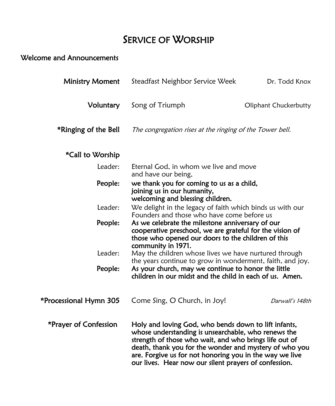# SERVICE OF WORSHIP

# Welcome and Announcements

| <b>Ministry Moment</b> | Steadfast Neighbor Service Week                                                                                                                                                                                                                                                                                                                     | Dr. Todd Knox         |  |
|------------------------|-----------------------------------------------------------------------------------------------------------------------------------------------------------------------------------------------------------------------------------------------------------------------------------------------------------------------------------------------------|-----------------------|--|
| Voluntary              | Song of Triumph                                                                                                                                                                                                                                                                                                                                     | Oliphant Chuckerbutty |  |
| *Ringing of the Bell   | The congregation rises at the ringing of the Tower bell.                                                                                                                                                                                                                                                                                            |                       |  |
| *Call to Worship       |                                                                                                                                                                                                                                                                                                                                                     |                       |  |
| Leader:                | Eternal God, in whom we live and move<br>and have our being,                                                                                                                                                                                                                                                                                        |                       |  |
| People:                | we thank you for coming to us as a child,<br>joining us in our humanity,<br>welcoming and blessing children.                                                                                                                                                                                                                                        |                       |  |
| Leader:                | We delight in the legacy of faith which binds us with our<br>Founders and those who have come before us                                                                                                                                                                                                                                             |                       |  |
| People:                | As we celebrate the milestone anniversary of our<br>cooperative preschool, we are grateful for the vision of<br>those who opened our doors to the children of this<br>community in 1971.                                                                                                                                                            |                       |  |
| Leader:                | May the children whose lives we have nurtured through<br>the years continue to grow in wonderment, faith, and joy.                                                                                                                                                                                                                                  |                       |  |
| People:                | As your church, may we continue to honor the little<br>children in our midst and the child in each of us. Amen.                                                                                                                                                                                                                                     |                       |  |
| *Processional Hymn 305 | Come Sing, O Church, in Joy!                                                                                                                                                                                                                                                                                                                        | Darwall's 148th       |  |
| *Prayer of Confession  | Holy and loving God, who bends down to lift infants,<br>whose understanding is unsearchable, who renews the<br>strength of those who wait, and who brings life out of<br>death, thank you for the wonder and mystery of who you<br>are. Forgive us for not honoring you in the way we live<br>our lives. Hear now our silent prayers of confession. |                       |  |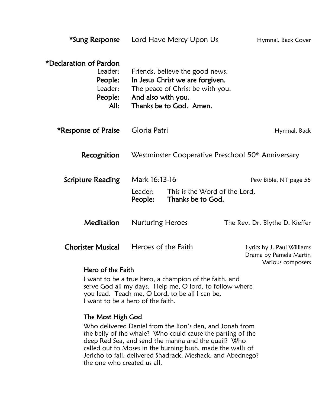| *Sung Response                                                             |                         | Lord Have Mercy Upon Us                                                                                                            | Hymnal, Back Cover                                                        |  |  |
|----------------------------------------------------------------------------|-------------------------|------------------------------------------------------------------------------------------------------------------------------------|---------------------------------------------------------------------------|--|--|
| *Declaration of Pardon<br>Leader:<br>People:<br>Leader:<br>People:<br>All: | And also with you.      | Friends, believe the good news.<br>In Jesus Christ we are forgiven.<br>The peace of Christ be with you.<br>Thanks be to God. Amen. |                                                                           |  |  |
| *Response of Praise                                                        | Gloria Patri            |                                                                                                                                    | Hymnal, Back                                                              |  |  |
| Recognition                                                                |                         | Westminster Cooperative Preschool 50 <sup>th</sup> Anniversary                                                                     |                                                                           |  |  |
| <b>Scripture Reading</b>                                                   | Mark 16:13-16           |                                                                                                                                    | Pew Bible, NT page 55                                                     |  |  |
|                                                                            | Leader:<br>People:      | This is the Word of the Lord.<br>Thanks be to God.                                                                                 |                                                                           |  |  |
| Meditation                                                                 | <b>Nurturing Heroes</b> |                                                                                                                                    | The Rev. Dr. Blythe D. Kieffer                                            |  |  |
| <b>Chorister Musical</b>                                                   | Heroes of the Faith     |                                                                                                                                    | Lyrics by J. Paul Williams<br>Drama by Pamela Martin<br>Various composers |  |  |
| Hero of the Faith                                                          |                         |                                                                                                                                    |                                                                           |  |  |
| I want to be a true hero, a champion of the faith, and                     |                         |                                                                                                                                    |                                                                           |  |  |

serve God all my days. Help me, O lord, to follow where you lead. Teach me, O Lord, to be all I can be, I want to be a hero of the faith.

#### The Most High God

 Who delivered Daniel from the lion's den, and Jonah from the belly of the whale? Who could cause the parting of the deep Red Sea, and send the manna and the quail? Who called out to Moses in the burning bush, made the walls of Jericho to fall, delivered Shadrack, Meshack, and Abednego? the one who created us all.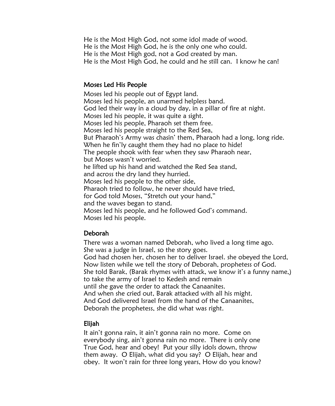He is the Most High God, not some idol made of wood. He is the Most High God, he is the only one who could. He is the Most High god, not a God created by man. He is the Most High God, he could and he still can. I know he can!

#### Moses Led His People

Moses led his people out of Egypt land. Moses led his people, an unarmed helpless band. God led their way in a cloud by day, in a pillar of fire at night. Moses led his people, it was quite a sight. Moses led his people, Pharaoh set them free. Moses led his people straight to the Red Sea, But Pharaoh's Army was chasin' them, Pharaoh had a long, long ride. When he fin'ly caught them they had no place to hide! The people shook with fear when they saw Pharaoh near, but Moses wasn't worried. he lifted up his hand and watched the Red Sea stand, and across the dry land they hurried. Moses led his people to the other side, Pharaoh tried to follow, he never should have tried, for God told Moses, "Stretch out your hand," and the waves began to stand. Moses led his people, and he followed God's command. Moses led his people.

#### Deborah

 There was a woman named Deborah, who lived a long time ago. She was a judge in Israel, so the story goes. God had chosen her, chosen her to deliver Israel. she obeyed the Lord, Now listen while we tell the story of Deborah, prophetess of God. She told Barak, (Barak rhymes with attack, we know it's a funny name,) to take the army of Israel to Kedesh and remain until she gave the order to attack the Canaanites. And when she cried out, Barak attacked with all his might. And God delivered Israel from the hand of the Canaanites, Deborah the prophetess, she did what was right.

#### Elijah

It ain't gonna rain, it ain't gonna rain no more. Come on everybody sing, ain't gonna rain no more. There is only one True God, hear and obey! Put your silly idols down, throw them away. O Elijah, what did you say? O Elijah, hear and obey. It won't rain for three long years, How do you know?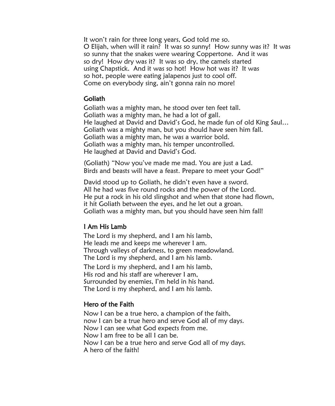It won't rain for three long years, God told me so. O Elijah, when will it rain? It was so sunny! How sunny was it? It was so sunny that the snakes were wearing Coppertone. And it was so dry! How dry was it? It was so dry, the camels started using Chapstick. And it was so hot! How hot was it? It was so hot, people were eating jalapenos just to cool off. Come on everybody sing, ain't gonna rain no more!

#### Goliath

Goliath was a mighty man, he stood over ten feet tall. Goliath was a mighty man, he had a lot of gall. He laughed at David and David's God, he made fun of old King Saul… Goliath was a mighty man, but you should have seen him fall. Goliath was a mighty man, he was a warrior bold. Goliath was a mighty man, his temper uncontrolled. He laughed at David and David's God.

(Goliath) "Now you've made me mad. You are just a Lad. Birds and beasts will have a feast. Prepare to meet your God!"

David stood up to Goliath, he didn't even have a sword. All he had was five round rocks and the power of the Lord. He put a rock in his old slingshot and when that stone had flown, it hit Goliath between the eyes, and he let out a groan. Goliath was a mighty man, but you should have seen him fall!

#### I Am His Lamb

 The Lord is my shepherd, and I am his lamb, He leads me and keeps me wherever I am. Through valleys of darkness, to green meadowland. The Lord is my shepherd, and I am his lamb. The Lord is my shepherd, and I am his lamb, His rod and his staff are wherever I am, Surrounded by enemies, I'm held in his hand. The Lord is my shepherd, and I am his lamb.

#### Hero of the Faith

Now I can be a true hero, a champion of the faith, now I can be a true hero and serve God all of my days. Now I can see what God expects from me. Now I am free to be all I can be. Now I can be a true hero and serve God all of my days. A hero of the faith!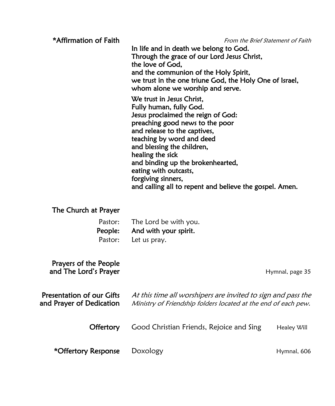| *Affirmation of Faith                                 | From the Brief Statement of Faith<br>In life and in death we belong to God.<br>Through the grace of our Lord Jesus Christ,<br>the love of God,<br>and the communion of the Holy Spirit,<br>we trust in the one triune God, the Holy One of Israel,<br>whom alone we worship and serve.<br>We trust in Jesus Christ,<br>Fully human, fully God.<br>Jesus proclaimed the reign of God:<br>preaching good news to the poor<br>and release to the captives,<br>teaching by word and deed<br>and blessing the children,<br>healing the sick<br>and binding up the brokenhearted,<br>eating with outcasts,<br>forgiving sinners,<br>and calling all to repent and believe the gospel. Amen. |                 |
|-------------------------------------------------------|---------------------------------------------------------------------------------------------------------------------------------------------------------------------------------------------------------------------------------------------------------------------------------------------------------------------------------------------------------------------------------------------------------------------------------------------------------------------------------------------------------------------------------------------------------------------------------------------------------------------------------------------------------------------------------------|-----------------|
| The Church at Prayer                                  |                                                                                                                                                                                                                                                                                                                                                                                                                                                                                                                                                                                                                                                                                       |                 |
| Pastor:<br>People:<br>Pastor:                         | The Lord be with you.<br>And with your spirit.<br>Let us pray.                                                                                                                                                                                                                                                                                                                                                                                                                                                                                                                                                                                                                        |                 |
| Prayers of the People<br>and The Lord's Prayer        |                                                                                                                                                                                                                                                                                                                                                                                                                                                                                                                                                                                                                                                                                       | Hymnal, page 35 |
| Presentation of our Gifts<br>and Prayer of Dedication | At this time all worshipers are invited to sign and pass the<br>Ministry of Friendship folders located at the end of each pew.                                                                                                                                                                                                                                                                                                                                                                                                                                                                                                                                                        |                 |
| <b>Offertory</b>                                      | Good Christian Friends, Rejoice and Sing                                                                                                                                                                                                                                                                                                                                                                                                                                                                                                                                                                                                                                              | Healey Will     |
| *Offertory Response                                   | Doxology                                                                                                                                                                                                                                                                                                                                                                                                                                                                                                                                                                                                                                                                              | Hymnal, 606     |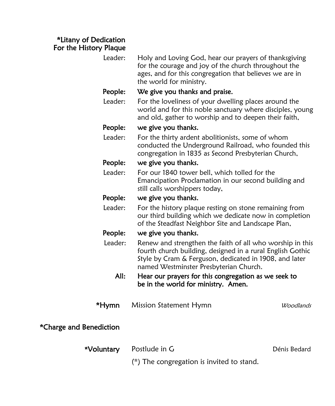### \*Litany of Dedication For the History Plaque

| Leader:                 | Holy and Loving God, hear our prayers of thanksgiving<br>for the courage and joy of the church throughout the<br>ages, and for this congregation that believes we are in<br>the world for ministry.                         |              |
|-------------------------|-----------------------------------------------------------------------------------------------------------------------------------------------------------------------------------------------------------------------------|--------------|
| People:                 | We give you thanks and praise.                                                                                                                                                                                              |              |
| Leader:                 | For the loveliness of your dwelling places around the<br>world and for this noble sanctuary where disciples, young<br>and old, gather to worship and to deepen their faith,                                                 |              |
| People:                 | we give you thanks.                                                                                                                                                                                                         |              |
| Leader:                 | For the thirty ardent abolitionists, some of whom<br>conducted the Underground Railroad, who founded this<br>congregation in 1835 as Second Presbyterian Church,                                                            |              |
| People:                 | we give you thanks.                                                                                                                                                                                                         |              |
| Leader:                 | For our 1840 tower bell, which tolled for the<br>Emancipation Proclamation in our second building and<br>still calls worshippers today,                                                                                     |              |
| People:                 | we give you thanks.                                                                                                                                                                                                         |              |
| Leader:                 | For the history plaque resting on stone remaining from<br>our third building which we dedicate now in completion<br>of the Steadfast Neighbor Site and Landscape Plan,                                                      |              |
| People:                 | we give you thanks.                                                                                                                                                                                                         |              |
| Leader:                 | Renew and strengthen the faith of all who worship in this<br>fourth church building, designed in a rural English Gothic<br>Style by Cram & Ferguson, dedicated in 1908, and later<br>named Westminster Presbyterian Church. |              |
| All:                    | Hear our prayers for this congregation as we seek to<br>be in the world for ministry. Amen.                                                                                                                                 |              |
| *Hymn                   | Mission Statement Hymn                                                                                                                                                                                                      | Woodlands    |
| *Charge and Benediction |                                                                                                                                                                                                                             |              |
| *Voluntary              | Postlude in G                                                                                                                                                                                                               | Dénis Bedard |
|                         | (*) The congregation is invited to stand.                                                                                                                                                                                   |              |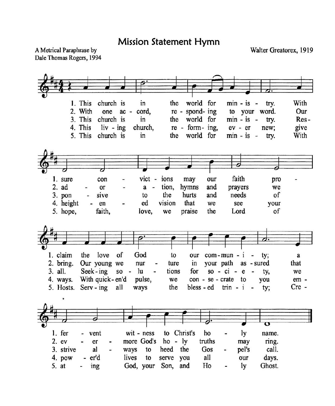Mission Statement Hymn

A Metrical Paraphrase by Dale Thomas Rogers, 1994 Walter Greatorex, 1919

1. This world for  $min - is - try.$ With church is in the 2. With one  $ac$ cord. re - spond- ing to your word. Our 3. This church is in the world for  $min - is$ try. Res-4. This  $re - form - ing$ . give  $\mathbf{liv}$  -  $\mathbf{ing}$ church.  $ev - er$ new: 5. This church is in world for  $min - is -$ With the try. faith 1. sure con vict - ions may our pro  $2.$ ad  $\alpha$ tion. hymns and  $a$ prayers we sive the hurts and needs of  $3.$  pon to 4. height ed vision that we see vour en 5. hope, faith. love. we praise the Lord of love of 1. claim the God to our  $com-mun - i$ ty; a 2. bring. Our young we your path as - sured ture in that nur Seek-ing  $3.$  all.  $SO \ln$ tions for  $so - ci - e$ we ty. With quick-en'd  $con - se - crate$  to 4. ways. pulse, we  $em$ you  $Serv - ing$  $Cre -$ 5. Hosts. all ways the bless - ed trin -  $i$  tv: ly  $1.$  fer vent  $wit - ness$ to Christ's ho name.  $2.$  ev more God's  $ho - ly$ truths  $er$ may ring. 3. strive al call. ways heed the Gos pel's to 4. pow all days. - er'd lives serve you to our  $5.$ at God, your Son, and Ho ly Ghost. ing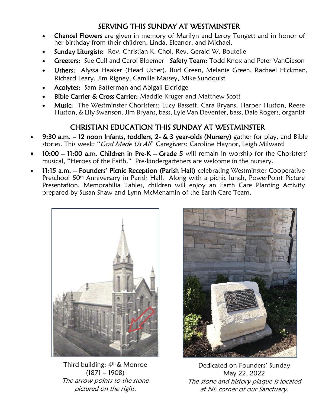## SERVING THIS SUNDAY AT WESTMINSTER

- Chancel Flowers are given in memory of Marilyn and Leroy Tungett and in honor of her birthday from their children, Linda, Eleanor, and Michael.
- Sunday Liturgists: Rev. Christian K. Choi, Rev. Gerald W. Boutelle
- Greeters: Sue Cull and Carol Bloemer Safety Team: Todd Knox and Peter VanGieson
- Ushers: Alyssa Haaker (Head Usher), Bud Green, Melanie Green, Rachael Hickman, Richard Leary, Jim Rigney, Camille Massey, Mike Sundquist
- Acolytes: Sam Batterman and Abigail Eldridge
- Bible Carrier & Cross Carrier: Maddie Kruger and Matthew Scott
- Music: The Westminster Choristers: Lucy Bassett, Cara Bryans, Harper Huston, Reese Huston, & Lily Swanson. Jim Bryans, bass, Lyle Van Deventer, bass, Dale Rogers, organist

# CHRISTIAN EDUCATION THIS SUNDAY AT WESTMINSTER

- 9:30 a.m. 12 noon Infants, toddlers, 2- & 3 year-olds (Nursery) gather for play, and Bible stories. This week: "God Made Us All" Caregivers: Caroline Haynor, Leigh Milward
- 10:00 11:00 a.m. Children in Pre-K Grade 5 will remain in worship for the Choristers' musical, "Heroes of the Faith." Pre-kindergarteners are welcome in the nursery.
- 11:15 a.m. Founders' Picnic Reception (Parish Hall) celebrating Westminster Cooperative Preschool 50th Anniversary in Parish Hall. Along with a picnic lunch, PowerPoint Picture Presentation, Memorabilia Tables, children will enjoy an Earth Care Planting Activity prepared by Susan Shaw and Lynn McMenamin of the Earth Care Team.



Third building: 4<sup>th</sup> & Monroe (1871 – 1908) The arrow points to the stone pictured on the right.



Dedicated on Founders' Sunday May 22, 2022 The stone and history plaque is located at NE corner of our Sanctuary.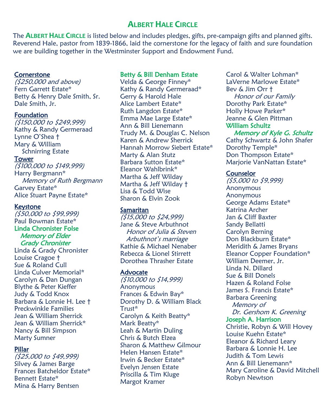## **ALBERT HALE CIRCLE**

The **ALBERT HALE CIRCLE** is listed below and includes pledges, gifts, pre-campaign gifts and planned gifts. Reverend Hale, pastor from 1839-1866, laid the cornerstone for the legacy of faith and sure foundation we are building together in the Westminster Support and Endowment Fund.

#### **Cornerstone**

(\$250,000 and above) Fern Garrett Estate\* Betty & Henry Dale Smith, Sr. Dale Smith, Jr.

#### **Foundation**

(\$150,000 to \$249,999) Kathy & Randy Germeraad Lynne O'Shea † Mary & William Schnirring Estate Tower (\$100,000 to \$149,999)

Harry Bergmann\* Memory of Ruth Bergmann Garvey Estate\* Alice Stuart Payne Estate\*

#### Keystone

(\$50,000 to \$99,999) Paul Bowman Estate\* Linda Chronister Folse Memory of Elder Grady Chronister

Linda & Grady Chronister Louise Cragoe † Sue & Roland Cull Linda Culver Memorial\* Carolyn & Dan Dungan Blythe & Peter Kieffer Judy & Todd Knox Barbara & Lonnie H. Lee † Preckwinkle Families Jean & William Sherrick Jean & William Sherrick\* Nancy & Bill Simpson Marty Sumner

#### Pillar

(\$25,000 to \$49,999) Silvey & James Barge Frances Batcheldor Estate\* Bennett Estate\* Mina & Harry Bentsen

#### Betty & Bill Denham Estate

Velda & George Finney\* Kathy & Randy Germeraad\* Gerry & Harold Hale Alice Lambert Estate\* Ruth Langdon Estate\* Emma Mae Large Estate\* Ann & Bill Lienemann Trudy M. & Douglas C. Nelson Karen & Andrew Sherrick Hannah Morrow Siebert Estate\* Marty & Alan Stutz Barbara Sutton Estate\* Eleanor Wahlbrink\* Martha & Jeff Wilday Martha & Jeff Wilday † Lisa & Todd Wise Sharon & Elvin Zook

#### **Samaritan**

(\$15,000 to \$24,999) Jane & Steve Arbuthnot Honor of Julia & Steven Arbuthnot's marriage Kathie & Michael Nenaber Rebecca & Lionel Stirrett Dorothea Thrasher Estate

#### **Advocate**

(\$10,000 to \$14,999) **Anonymous** Frances & Edwin Bay\* Dorothy D. & William Black Trust\* Carolyn & Keith Beatty\* Mark Beatty\* Leah & Martin Duling Chris & Butch Elzea Sharon & Matthew Gilmour Helen Hansen Estate\* Irwin & Becker Estate\* Evelyn Jensen Estate Priscilla & Tim Kluge Margot Kramer

Carol & Walter Lohman\* LaVerne Marlowe Estate\* Bev & Jim Orr † Honor of our Family Dorothy Park Estate\* Holly Howe Parker\* Jeanne & Glen Pittman William Schultz

 Memory of Kyle G. Schultz Cathy Schwartz & John Shafer Dorothy Temple\* Don Thompson Estate\* Marjorie VanNattan Estate\*

#### **Counselor**

(\$5,000 to \$9,999) Anonymous Anonymous George Adams Estate\* Katrina Archer Jan & Cliff Baxter Sandy Bellatti Carolyn Berning Don Blackburn Estate\* Meridith & James Bryans Eleanor Copper Foundation\* William Deemer, Jr. Linda N. Dillard Sue & Bill Donels Hazen & Roland Folse James S. Francis Estate\* Barbara Greening Memory of Dr. Gershom K. Greening Joseph A. Harrison Christie, Robyn & Will Hovey Louise Kuehn Estate\* Eleanor & Richard Leary Barbara & Lonnie H. Lee Judith & Tom Lewis Ann & Bill Lienemann\* Mary Caroline & David Mitchell Robyn Newtson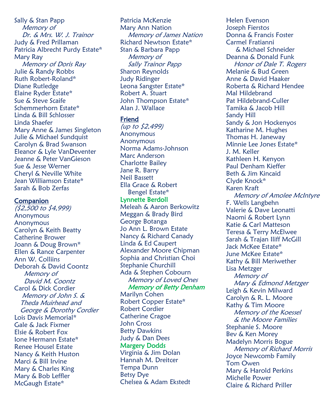Sally & Stan Papp Memory of Dr. & Mrs. W. J. Trainor Judy & Fred Prillaman Patricia Albrecht Purdy Estate\* Mary Ray Memory of Doris Ray Julie & Randy Robbs Ruth Robert-Roland\* Diane Rutledge Elaine Ryder Estate\* Sue & Steve Scaife Schemmerhorn Estate\* Linda & Bill Schlosser Linda Shaefer Mary Anne & James Singleton Julie & Michael Sundquist Carolyn & Brad Swanson Eleanor & Lyle VanDeventer Jeanne & Peter VanGieson Sue & Jesse Werner Cheryl & Neville White Jean Williamson Estate\* Sarah & Bob Zerfas

#### Companion

(\$2,500 to \$4,999) **Anonymous Anonymous** Carolyn & Keith Beatty Catherine Brower Joann & Doug Brown\* Ellen & Rance Carpenter Ann W. Colliins Deborah & David Coontz Memory of David M. Coontz Carol & Dick Cordier Memory of John S. & Theda Muirhead and George & Dorothy Cordier Lois Davis Memorial\* Gale & Jack Fixmer Elsie & Robert Fox Ione Hermann Estate\* Renee Housel Estate Nancy & Keith Huston Marci & Bill Irvine Mary & Charles King Mary & Bob Leffler McGaugh Estate\*

Patricia McKenzie Mary Ann Nation Memory of James Nation Richard Newtson Estate\* Stan & Barbara Papp Memory of Sally Trainor Papp Sharon Reynolds Judy Ridinger Leona Sangster Estate\* Robert A. Stuart John Thompson Estate\* Alan J. Wallace

#### Friend

(up to \$2,499) **Anonymous Anonymous** Norma Adams-Johnson Marc Anderson Charlotte Bailey Jane R. Barry Neil Bassett Ella Grace & Robert Bengel Estate\*

#### Lynnette Berdoll

Meleah & Aaron Berkowitz Meggan & Brady Bird George Botanga Jo Ann L. Brown Estate Nancy & Richard Canady Linda & Ed Caupert Alexander Moore Chipman Sophia and Christian Choi Stephanie Churchill Ada & Stephen Cobourn Memory of Loved Ones Memory of Betty Denham

Marilyn Cohen Robert Copper Estate\* Robert Cordier Catherine Cragoe John Cross Betty Dawkins Judy & Dan Dees Margery Dodds Virginia & Jim Dolan Hannah M. Dreitcer Tempa Dunn Betsy Dye Chelsea & Adam Ekstedt Helen Evenson Joseph Fierstos Donna & Francis Foster Carmel Fratianni & Michael Schneider Deanna & Donald Funk Honor of Dale T. Rogers Melanie & Bud Green Anne & David Haaker Roberta & Richard Hendee Mal Hildebrand Pat Hildebrand-Culler Tamika & Jacob Hill Sandy Hill Sandy & Jon Hockenyos Katharine M. Hughes Thomas H. Janeway Minnie Lee Jones Estate\* J. M. Keller Kathleen H. Kenyon Paul Denham Kieffer Beth & Jim Kincaid Clyde Knock\* Karen Kraft Memory of Amolee McIntyre F. Wells Langbehn Valerie & Dave Leonatti Naomi & Robert Lynn Katie & Carl Matteson Teresa & Terry McElwee Sarah & Trajan Iliff McGill Jack McKee Estate\* June McKee Estate\* Kathy & Bill Meriwether Lisa Metzger Memory of Mary & Edmond Metzger Leigh & Kevin Milward Carolyn & R. L. Moore Kathy & Tim Moore Memory of the Koessel & the Moore Families Stephanie S. Moore Bev & Ken Morey Madelyn Morris Bogue Memory of Richard Morris Joyce Newcomb Family Tom Owen Mary & Harold Perkins Michelle Power Claire & Richard Priller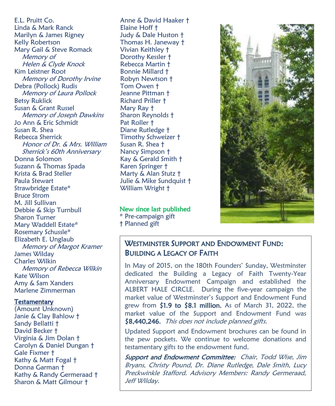E.L. Pruitt Co. Linda & Mark Ranck Marilyn & James Rigney Kelly Robertson Mary Gail & Steve Romack Memory of Helen & Clyde Knock Kim Leistner Root Memory of Dorothy Irvine Debra (Pollock) Rudis Memory of Laura Pollock Betsy Ruklick Susan & Grant Russel Memory of Joseph Dawkins Jo Ann & Eric Schmidt Susan R. Shea Rebecca Sherrick Honor of Dr. & Mrs. William Sherrick's 60th Anniversary Donna Solomon Suzann & Thomas Spada Krista & Brad Steller Paula Stewart Strawbridge Estate\* Bruce Strom M. Jill Sullivan Debbie & Skip Turnbull Sharon Turner Mary Waddell Estate\* Rosemary Schussle\* Elizabeth E. Unglaub Memory of Margot Kramer James Wilday Charles Wilkin Memory of Rebecca Wilkin Kate Wilson Amy & Sam Xanders Marlene Zimmerman

#### **Testamentary**

(Amount Unknown) Janie & Clay Bahlow † Sandy Bellatti † David Becker † Virginia & Jim Dolan † Carolyn & Daniel Dungan † Gale Fixmer † Kathy & Matt Fogal † Donna Garman † Kathy & Randy Germeraad † Sharon & Matt Gilmour †

Anne & David Haaker † Elaine Hoff † Judy & Dale Huston † Thomas H. Janeway † Vivian Keithley † Dorothy Kessler † Rebecca Martin † Bonnie Millard † Robyn Newtson † Tom Owen † Jeanne Pittman † Richard Priller † Mary Ray † Sharon Reynolds † Pat Roller † Diane Rutledge † Timothy Schweizer † Susan R. Shea † Nancy Simpson † Kay & Gerald Smith † Karen Springer † Marty & Alan Stutz † Julie & Mike Sundquist † William Wright †

# New since last published

\* Pre-campaign gift † Planned gift



### WESTMINSTER SUPPORT AND ENDOWMENT FUND: BUILDING A LEGACY OF FAITH

In May of 2015, on the 180th Founders' Sunday, Westminster dedicated the Building a Legacy of Faith Twenty-Year Anniversary Endowment Campaign and established the ALBERT HALE CIRCLE. During the five-year campaign the market value of Westminster's Support and Endowment Fund grew from \$1.9 to \$8.1 million. As of March 31, 2022, the market value of the Support and Endowment Fund was \$8,440,246. This does not include planned gifts.

Updated Support and Endowment brochures can be found in the pew pockets. We continue to welcome donations and testamentary gifts to the endowment fund.

Support and Endowment Committee: Chair, Todd Wise, Jim Bryans, Christy Pound, Dr. Diane Rutledge, Dale Smith, Lucy Preckwinkle Stafford. Advisory Members: Randy Germeraad, Jeff Wilday.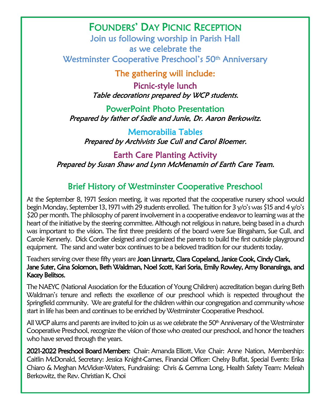# FOUNDERS' DAY PICNIC RECEPTION

 Join us following worship in Parish Hall as we celebrate the Westminster Cooperative Preschool's 50<sup>th</sup> Anniversary

The gathering will include:

 Picnic-style lunch Table decorations prepared by WCP students.

 PowerPoint Photo Presentation Prepared by father of Sadie and Junie, Dr. Aaron Berkowitz.

 Memorabilia Tables Prepared by Archivists Sue Cull and Carol Bloemer.

 Earth Care Planting Activity Prepared by Susan Shaw and Lynn McMenamin of Earth Care Team.

# Brief History of Westminster Cooperative Preschool

 At the September 8, 1971 Session meeting, it was reported that the cooperative nursery school would begin Monday, September 13, 1971 with 29 students enrolled. The tuition for 3 y/o's was \$15 and 4 y/o's heart of the initiative by the steering committee. Although not religious in nature, being based in a church was important to the vision. The first three presidents of the board were Sue Bingaham, Sue Cull, and Carole Kennerly. Dick Cordier designed and organized the parents to build the first outside playground \$20 per month. The philosophy of parent involvement in a cooperative endeavor to learning was at the equipment. The sand and water box continues to be a beloved tradition for our students today.

# the control of the serving over these fifty years are **Joan Linnartz, Clara Copeland, Janice Cook, Cindy Clark, "**<br>Teachers serving over these fifty years are **Joan Linnartz, Clara Copeland, Janice Cook, Cindy Clark,**  Jane Suter, Gina Solomon, Beth Waldman, Noel Scott, Kari Soria, Emily Rowley, Amy Bonansinga, and Kacey Belitsos.

 The NAEYC (National Association for the Education of Young Children) accreditation began during Beth Springfield community. We are grateful for the children within our congregation and community whose start in life has been and continues to be enriched by Westminster Cooperative Preschool. Waldman's tenure and reflects the excellence of our preschool which is respected throughout the

All WCP alums and parents are invited to join us as we celebrate the 50<sup>th</sup> Anniversary of the Westminster Cooperative Preschool, recognize the vision of those who created our preschool, and honor the teachers who have served through the years.

 Caitlin McDonald, Secretary: Jessica Knight-Carnes, Financial Officer: Chelsy Buffat, Special Events: Erika Chiaro & Meghan McVicker-Waters, Fundraising: Chris & Gemma Long, Health Safety Team: Meleah 2021-2022 Preschool Board Members: Chair: Amanda Elliott, Vice Chair: Anne Nation, Membership: Berkowitz, the Rev. Christian K. Choi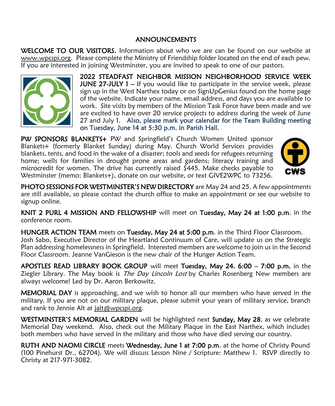#### ANNOUNCEMENTS

WELCOME TO OUR VISITORS. Information about who we are can be found on our website at [www.wpcspi.org.](http://www.wpcspi.org/) Please complete the Ministry of Friendship folder located on the end of each pew. If you are interested in joining Westminster, you are invited to speak to one of our pastors.



2022 STEADFAST NEIGHBOR MISSION NEIGHBORHOOD SERVICE WEEK **JUNE 27-JULY 1** – If you would like to participate in the service week, please sign up in the West Narthex today or on SignUpGenius found on the home page of the website. Indicate your name, email address, and days you are available to work. Site visits by members of the Mission Task Force have been made and we are excited to have over 20 service projects to address during the week of June 27 and July 1. Also, please mark your calendar for the Team Building meeting on Tuesday, June 14 at 5:30 p.m. in Parish Hall.

PW SPONSORS BLANKETS+ PW and Springfield's Church Women United sponsor Blankets+ (formerly Blanket Sunday) during May. Church World Services provides blankets, tents, and food in the wake of a disaster; tools and seeds for refugees returning home; wells for families in drought prone areas and gardens; literacy training and microcredit for women. The drive has currently raised  $\frac{5445}{100}$ . Make checks payable to Westminster (memo: Blankets+), donate on our website, or text GIVE2WPC to 73256.



PHOTO SESSIONS FOR WESTMINSTER'S NEW DIRECTORY are May 24 and 25. A few appointments are still available, so please contact the church office to make an appointment or see our website to signup online.

KNIT 2 PURL 4 MISSION AND FELLOWSHIP will meet on Tuesday, May 24 at 1:00 p.m. in the conference room.

HUNGER ACTION TEAM meets on Tuesday, May 24 at 5:00 p.m. in the Third Floor Classroom. Josh Sabo, Executive Director of the Heartland Continuum of Care, will update us on the Strategic Plan addressing homelessness in Springfield. Interested members are welcome to join us in the Second Floor Classroom. Jeanne VanGieson is the new chair of the Hunger Action Team.

APOSTLES READ LIBRARY BOOK GROUP will meet Tuesday, May 24. 6:00 – 7:00 p.m. in the Ziegler Library. The May book is *The Day Lincoln Lost* by Charles Rosenberg New members are always welcome! Led by Dr. Aaron Berkowitz.

**MEMORIAL DAY** is approaching, and we wish to honor all our members who have served in the military. If you are not on our military plaque, please submit your years of military service, branch and rank to Jennie Alt at [jalt@wpcspi.org.](mailto:jalt@wpcspi.org)

WESTMINSTER'S MEMORIAL GARDEN will be highlighted next Sunday, May 28, as we celebrate Memorial Day weekend. Also, check out the Military Plaque in the East Narthex, which includes both members who have served in the military and those who have died serving our country.

RUTH AND NAOMI CIRCLE meets Wednesday, June 1 at 7:00 p.m. at the home of Christy Pound (100 Pinehurst Dr., 62704). We will discuss Lesson Nine / Scripture: Matthew 1. RSVP directly to Christy at 217-971-3082.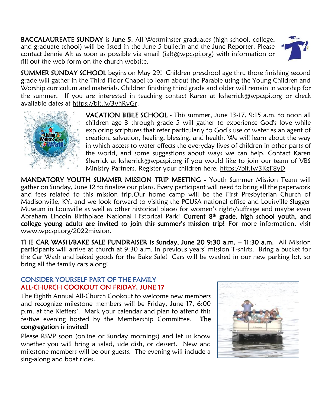BACCALAUREATE SUNDAY is June 5. All Westminster graduates (high school, college, and graduate school) will be listed in the June 5 bulletin and the June Reporter. Please contact Jennie Alt as soon as possible via email [\(jalt@wpcspi.org\)](mailto:jalt@wpcspi.org) with information or fill out the web form on the church website.



**SUMMER SUNDAY SCHOOL** begins on May 29! Children preschool age thru those finishing second grade will gather in the Third Floor Chapel to learn about the Parable using the Young Children and Worship curriculum and materials. Children finishing third grade and older will remain in worship for the summer. If you are interested in teaching contact Karen at [ksherrick@wpcspi.org](mailto:ksherrick@wpcspi.org) or check available dates at [https://bit.ly/3vhRvGr.](https://bit.ly/3vhRvGr)



VACATION BIBLE SCHOOL - This summer, June 13-17, 9:15 a.m. to noon all children age 3 through grade 5 will gather to experience God's love while exploring scriptures that refer particularly to God's use of water as an agent of creation, salvation, healing, blessing, and health. We will learn about the way in which access to water effects the everyday lives of children in other parts of the world, and some suggestions about ways we can help. Contact Karen Sherrick at ksherrick@wpcspi.org if you would like to join our team of VBS Ministry Partners. Register your children here:<https://bit.ly/3KgF8yD>

MANDATORY YOUTH SUMMER MISSION TRIP MEETING - Youth Summer Mission Team will gather on Sunday, June 12 to finalize our plans. Every participant will need to bring all the paperwork and fees related to this mission trip.Our home camp will be the First Presbyterian Church of Madisonville, KY, and we look forward to visiting the PCUSA national office and Louisville Slugger Museum in Louisville as well as other historical places for women's rights/suffrage and maybe even Abraham Lincoln Birthplace National Historical Park! Current 8<sup>th</sup> grade, high school youth, and college young adults are invited to join this summer's mission trip! For more information, visit [www.wpcspi.org/2022mission.](http://www.wpcspi.org/2022mission)

THE CAR WASH/BAKE SALE FUNDRAISER is Sunday, June 20 9:30 a.m. – 11:30 a.m. All Mission participants will arrive at church at 9:30 a.m. in previous years' mission T-shirts. Bring a bucket for the Car Wash and baked goods for the Bake Sale! Cars will be washed in our new parking lot, so bring all the family cars along!

#### CONSIDER YOURSELF PART OF THE FAMILY ALL-CHURCH COOKOUT ON FRIDAY, JUNE 17

The Eighth Annual All-Church Cookout to welcome new members and recognize milestone members will be Friday, June 17, 6:00 p.m. at the Kieffers'. Mark your calendar and plan to attend this festive evening hosted by the Membership Committee. The congregation is invited!

Please RSVP soon (online or Sunday mornings) and let us know whether you will bring a salad, side dish, or dessert. New and milestone members will be our guests. The evening will include a sing-along and boat rides.